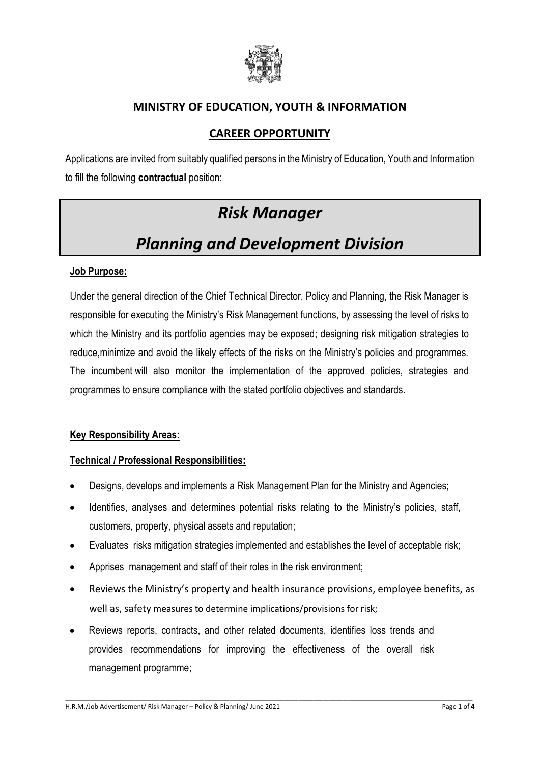

## **MINISTRY OF EDUCATION, YOUTH & INFORMATION**

## **CAREER OPPORTUNITY**

Applications are invited from suitably qualified persons in the Ministry of Education, Youth and Information to fill the following **contractual** position:

# *Risk Manager*

# *Planning and Development Division*

#### **Job Purpose:**

Under the general direction of the Chief Technical Director, Policy and Planning, the Risk Manager is responsible for executing the Ministry's Risk Management functions, by assessing the level of risks to which the Ministry and its portfolio agencies may be exposed; designing risk mitigation strategies to reduce,minimize and avoid the likely effects of the risks on the Ministry's policies and programmes. The incumbent will also monitor the implementation of the approved policies, strategies and programmes to ensure compliance with the stated portfolio objectives and standards.

#### **Key Responsibility Areas:**

#### **Technical / Professional Responsibilities:**

- Designs, develops and implements a Risk Management Plan for the Ministry and Agencies;
- Identifies, analyses and determines potential risks relating to the Ministry's policies, staff, customers, property, physical assets and reputation;
- Evaluates risks mitigation strategies implemented and establishes the level of acceptable risk;
- Apprises management and staff of their roles in the risk environment;
- Reviews the Ministry's property and health insurance provisions, employee benefits, as well as, safety measures to determine implications/provisions for risk;

\_\_\_\_\_\_\_\_\_\_\_\_\_\_\_\_\_\_\_\_\_\_\_\_\_\_\_\_\_\_\_\_\_\_\_\_\_\_\_\_\_\_\_\_\_\_\_\_\_\_\_\_\_\_\_\_\_\_\_\_\_\_\_\_\_\_\_\_\_\_\_\_\_\_\_\_\_\_\_\_\_\_

 Reviews reports, contracts, and other related documents, identifies loss trends and provides recommendations for improving the effectiveness of the overall risk management programme;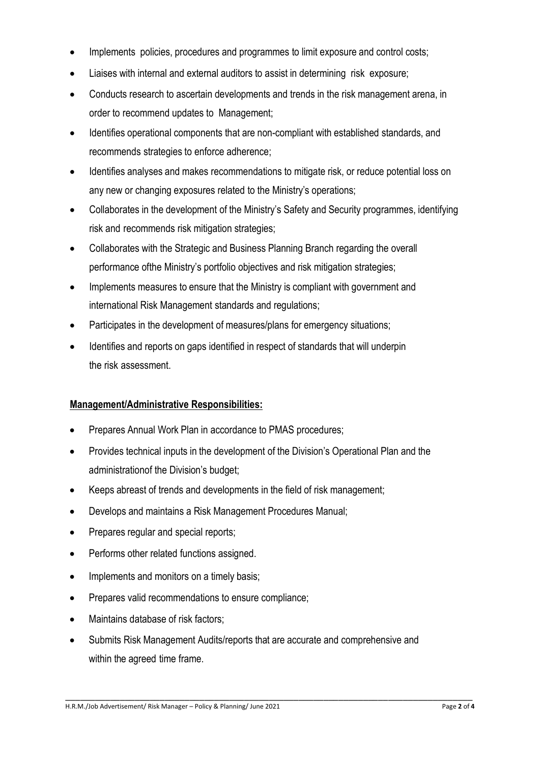- Implements policies, procedures and programmes to limit exposure and control costs;
- Liaises with internal and external auditors to assist in determining risk exposure;
- Conducts research to ascertain developments and trends in the risk management arena, in order to recommend updates to Management;
- Identifies operational components that are non-compliant with established standards, and recommends strategies to enforce adherence;
- Identifies analyses and makes recommendations to mitigate risk, or reduce potential loss on any new or changing exposures related to the Ministry's operations;
- Collaborates in the development of the Ministry's Safety and Security programmes, identifying risk and recommends risk mitigation strategies;
- Collaborates with the Strategic and Business Planning Branch regarding the overall performance ofthe Ministry's portfolio objectives and risk mitigation strategies;
- Implements measures to ensure that the Ministry is compliant with government and international Risk Management standards and regulations;
- Participates in the development of measures/plans for emergency situations;
- Identifies and reports on gaps identified in respect of standards that will underpin the risk assessment.

#### **Management/Administrative Responsibilities:**

- Prepares Annual Work Plan in accordance to PMAS procedures;
- Provides technical inputs in the development of the Division's Operational Plan and the administrationof the Division's budget;
- Keeps abreast of trends and developments in the field of risk management;
- Develops and maintains a Risk Management Procedures Manual;
- Prepares regular and special reports;
- Performs other related functions assigned.
- Implements and monitors on a timely basis;
- Prepares valid recommendations to ensure compliance;
- Maintains database of risk factors;
- Submits Risk Management Audits/reports that are accurate and comprehensive and within the agreed time frame.

\_\_\_\_\_\_\_\_\_\_\_\_\_\_\_\_\_\_\_\_\_\_\_\_\_\_\_\_\_\_\_\_\_\_\_\_\_\_\_\_\_\_\_\_\_\_\_\_\_\_\_\_\_\_\_\_\_\_\_\_\_\_\_\_\_\_\_\_\_\_\_\_\_\_\_\_\_\_\_\_\_\_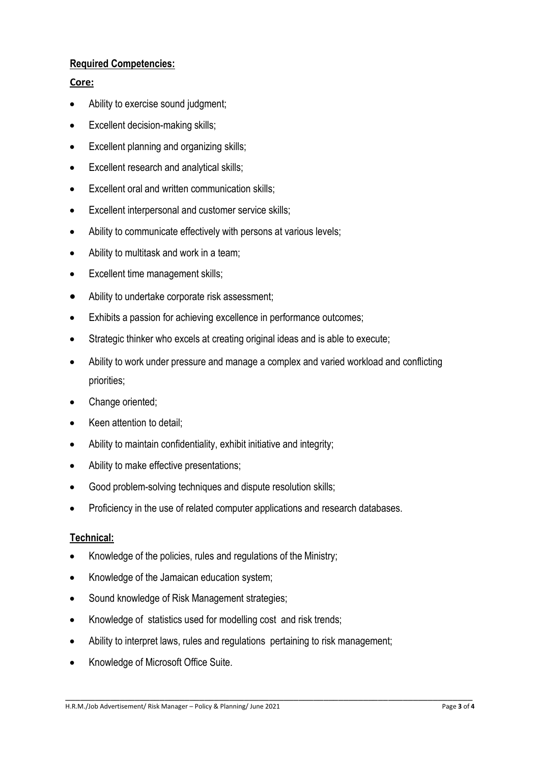#### **Required Competencies:**

#### **Core:**

- Ability to exercise sound judgment;
- Excellent decision-making skills;
- **Excellent planning and organizing skills;**
- Excellent research and analytical skills;
- Excellent oral and written communication skills;
- Excellent interpersonal and customer service skills;
- Ability to communicate effectively with persons at various levels;
- Ability to multitask and work in a team;
- Excellent time management skills;
- Ability to undertake corporate risk assessment;
- Exhibits a passion for achieving excellence in performance outcomes;
- Strategic thinker who excels at creating original ideas and is able to execute;
- Ability to work under pressure and manage a complex and varied workload and conflicting priorities;
- Change oriented;
- Keen attention to detail;
- Ability to maintain confidentiality, exhibit initiative and integrity;
- Ability to make effective presentations;
- Good problem-solving techniques and dispute resolution skills;
- Proficiency in the use of related computer applications and research databases.

#### **Technical:**

- Knowledge of the policies, rules and regulations of the Ministry;
- Knowledge of the Jamaican education system;
- Sound knowledge of Risk Management strategies;
- Knowledge of statistics used for modelling cost and risk trends;
- Ability to interpret laws, rules and regulations pertaining to risk management;
- Knowledge of Microsoft Office Suite.